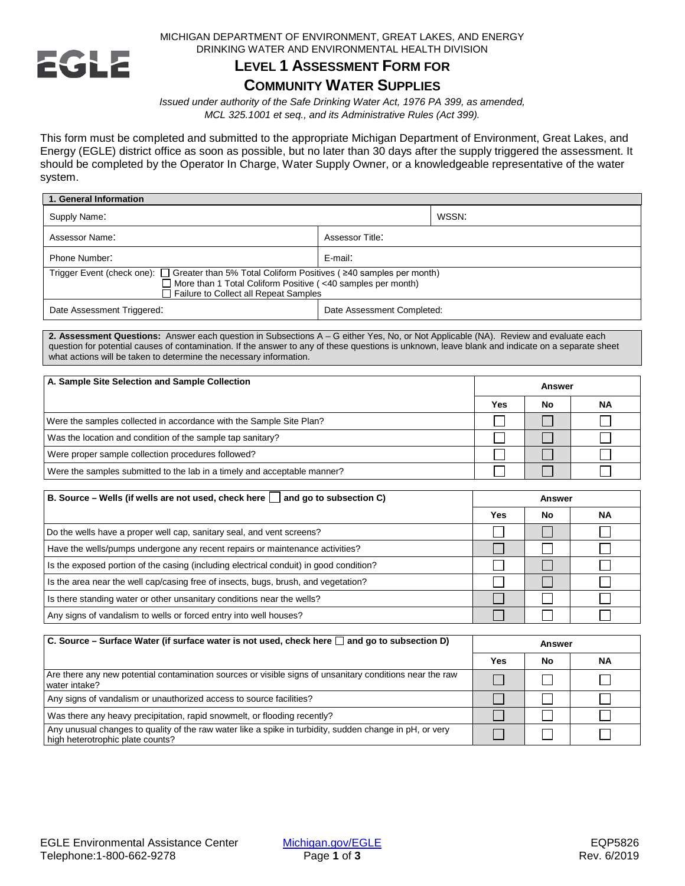

MICHIGAN DEPARTMENT OF ENVIRONMENT, GREAT LAKES, AND ENERGY DRINKING WATER AND ENVIRONMENTAL HEALTH DIVISION

## **LEVEL 1 ASSESSMENT FORM FOR**

## **COMMUNITY WATER SUPPLIES**

*Issued under authority of the Safe Drinking Water Act, 1976 PA 399, as amended, MCL 325.1001 et seq., and its Administrative Rules (Act 399).*

This form must be completed and submitted to the appropriate Michigan Department of Environment, Great Lakes, and Energy (EGLE) district office as soon as possible, but no later than 30 days after the supply triggered the assessment. It should be completed by the Operator In Charge, Water Supply Owner, or a knowledgeable representative of the water system.

| 1. General Information                                                                                                                                                                                                            |                            |       |  |
|-----------------------------------------------------------------------------------------------------------------------------------------------------------------------------------------------------------------------------------|----------------------------|-------|--|
| Supply Name:                                                                                                                                                                                                                      |                            | WSSN: |  |
| Assessor Name:<br>Assessor Title:                                                                                                                                                                                                 |                            |       |  |
| Phone Number:                                                                                                                                                                                                                     | E-mail:                    |       |  |
| Trigger Event (check one): $\Box$ Greater than 5% Total Coliform Positives ( $\geq$ 40 samples per month)<br>$\Box$ More than 1 Total Coliform Positive ( $\leq$ 40 samples per month)<br>□ Failure to Collect all Repeat Samples |                            |       |  |
| Date Assessment Triggered:                                                                                                                                                                                                        | Date Assessment Completed: |       |  |

**2. Assessment Questions:** Answer each question in Subsections A – G either Yes, No, or Not Applicable (NA). Review and evaluate each question for potential causes of contamination. If the answer to any of these questions is unknown, leave blank and indicate on a separate sheet what actions will be taken to determine the necessary information.

| A. Sample Site Selection and Sample Collection                           | Answer |    |           |
|--------------------------------------------------------------------------|--------|----|-----------|
|                                                                          | Yes    | No | <b>NA</b> |
| Were the samples collected in accordance with the Sample Site Plan?      |        |    |           |
| Was the location and condition of the sample tap sanitary?               |        |    |           |
| Were proper sample collection procedures followed?                       |        |    |           |
| Were the samples submitted to the lab in a timely and acceptable manner? |        |    |           |

| B. Source – Wells (if wells are not used, check here $\Box$ and go to subsection C)    | <b>Answer</b> |     |           |
|----------------------------------------------------------------------------------------|---------------|-----|-----------|
|                                                                                        | Yes           | No. | <b>NA</b> |
| Do the wells have a proper well cap, sanitary seal, and vent screens?                  |               |     |           |
| Have the wells/pumps undergone any recent repairs or maintenance activities?           |               |     |           |
| Is the exposed portion of the casing (including electrical conduit) in good condition? |               |     |           |
| Is the area near the well cap/casing free of insects, bugs, brush, and vegetation?     |               |     |           |
| Is there standing water or other unsanitary conditions near the wells?                 |               |     |           |
| Any signs of vandalism to wells or forced entry into well houses?                      |               |     |           |

| $\mid$ C. Source – Surface Water (if surface water is not used, check here $\sqcap$ and go to subsection D)                                 | Answer |    |           |
|---------------------------------------------------------------------------------------------------------------------------------------------|--------|----|-----------|
|                                                                                                                                             | Yes    | No | <b>NA</b> |
| Are there any new potential contamination sources or visible signs of unsanitary conditions near the raw<br>water intake?                   |        |    |           |
| Any signs of vandalism or unauthorized access to source facilities?                                                                         |        |    |           |
| Was there any heavy precipitation, rapid snowmelt, or flooding recently?                                                                    |        |    |           |
| Any unusual changes to quality of the raw water like a spike in turbidity, sudden change in pH, or very<br>high heterotrophic plate counts? |        |    |           |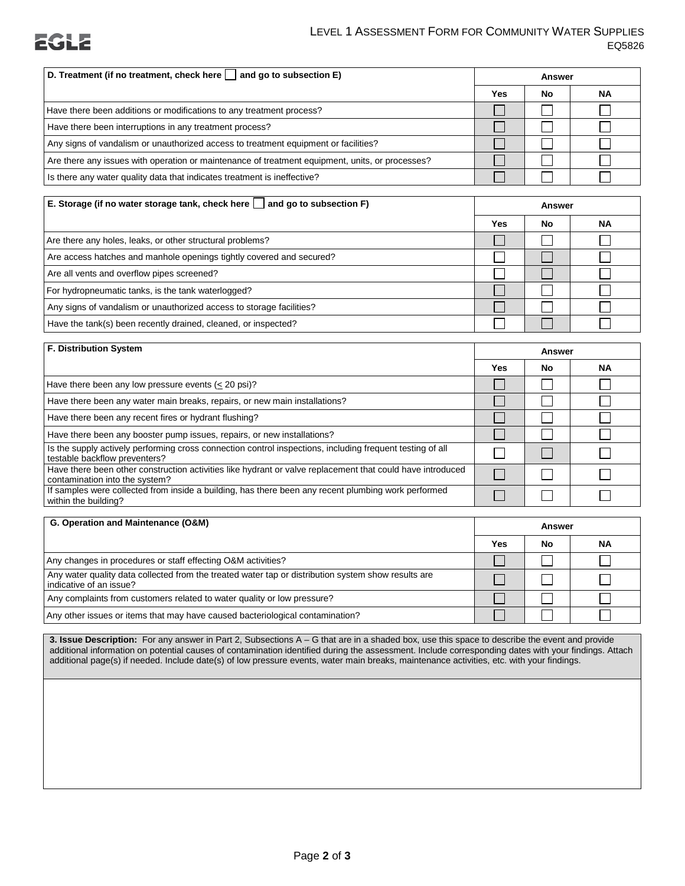

## LEVEL 1 ASSESSMENT FORM FOR COMMUNITY WATER SUPPLIES EQ5826

| D. Treatment (if no treatment, check here $\vert$ and go to subsection E)                       |     | Answer |    |
|-------------------------------------------------------------------------------------------------|-----|--------|----|
|                                                                                                 | Yes | No     | ΝA |
| Have there been additions or modifications to any treatment process?                            |     |        |    |
| Have there been interruptions in any treatment process?                                         |     |        |    |
| Any signs of vandalism or unauthorized access to treatment equipment or facilities?             |     |        |    |
| Are there any issues with operation or maintenance of treatment equipment, units, or processes? |     |        |    |
| Is there any water quality data that indicates treatment is ineffective?                        |     |        |    |

| E. Storage (if no water storage tank, check here $\vert$ and go to subsection F) | Answer |    |           |
|----------------------------------------------------------------------------------|--------|----|-----------|
|                                                                                  | Yes    | No | <b>NA</b> |
| Are there any holes, leaks, or other structural problems?                        |        |    |           |
| Are access hatches and manhole openings tightly covered and secured?             |        |    |           |
| Are all vents and overflow pipes screened?                                       |        |    |           |
| For hydropneumatic tanks, is the tank waterlogged?                               |        |    |           |
| Any signs of vandalism or unauthorized access to storage facilities?             |        |    |           |
| Have the tank(s) been recently drained, cleaned, or inspected?                   |        |    |           |

| <b>F. Distribution System</b>                                                                                                                |     | <b>Answer</b> |           |
|----------------------------------------------------------------------------------------------------------------------------------------------|-----|---------------|-----------|
|                                                                                                                                              | Yes | No.           | <b>NA</b> |
| Have there been any low pressure events $(20 \text{ psi})$ ?                                                                                 |     |               |           |
| Have there been any water main breaks, repairs, or new main installations?                                                                   |     |               |           |
| Have there been any recent fires or hydrant flushing?                                                                                        |     |               |           |
| Have there been any booster pump issues, repairs, or new installations?                                                                      |     |               |           |
| Is the supply actively performing cross connection control inspections, including frequent testing of all<br>testable backflow preventers?   |     |               |           |
| Have there been other construction activities like hydrant or valve replacement that could have introduced<br>contamination into the system? |     |               |           |
| If samples were collected from inside a building, has there been any recent plumbing work performed<br>within the building?                  |     |               |           |

| G. Operation and Maintenance (O&M)                                                                                             |     | Answer |    |
|--------------------------------------------------------------------------------------------------------------------------------|-----|--------|----|
|                                                                                                                                | Yes | No     | ΝA |
| Any changes in procedures or staff effecting O&M activities?                                                                   |     |        |    |
| Any water quality data collected from the treated water tap or distribution system show results are<br>indicative of an issue? |     |        |    |
| Any complaints from customers related to water quality or low pressure?                                                        |     |        |    |
| Any other issues or items that may have caused bacteriological contamination?                                                  |     |        |    |

**3. Issue Description:** For any answer in Part 2, Subsections A – G that are in a shaded box, use this space to describe the event and provide additional information on potential causes of contamination identified during the assessment. Include corresponding dates with your findings. Attach additional page(s) if needed. Include date(s) of low pressure events, water main breaks, maintenance activities, etc. with your findings.